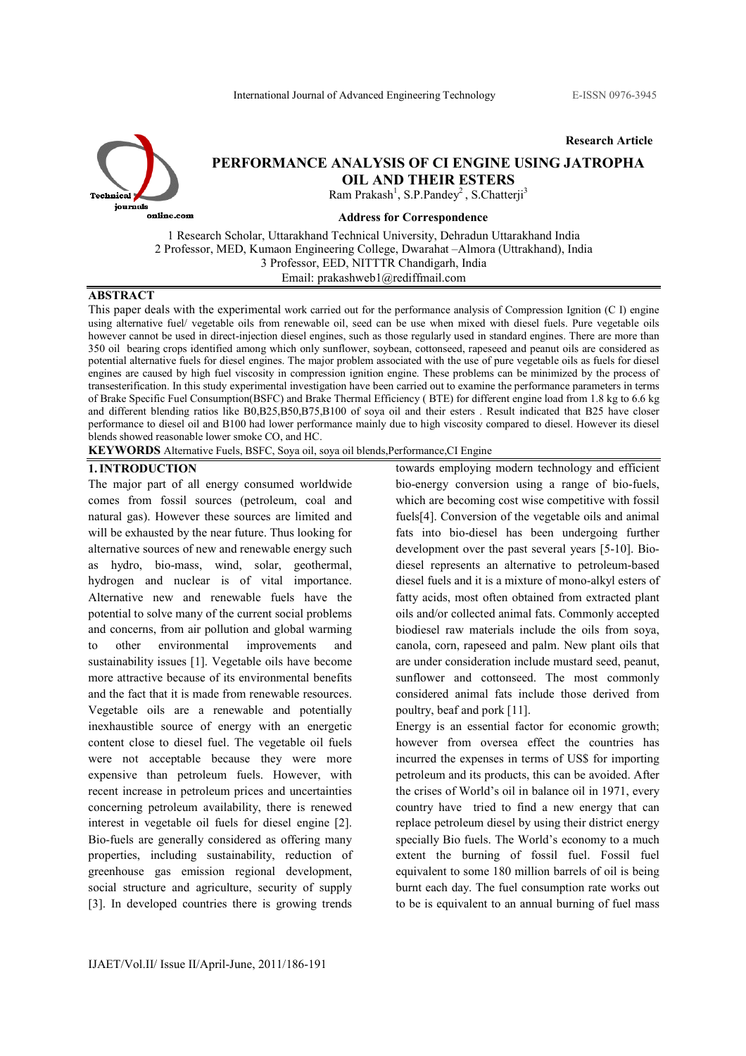Research Article



# PERFORMANCE ANALYSIS OF CI ENGINE USING JATROPHA OIL AND THEIR ESTERS

Ram Prakash<sup>1</sup>, S.P.Pandey<sup>2</sup>, S.Chatterji<sup>3</sup>

#### Address for Correspondence

1 Research Scholar, Uttarakhand Technical University, Dehradun Uttarakhand India 2 Professor, MED, Kumaon Engineering College, Dwarahat –Almora (Uttrakhand), India 3 Professor, EED, NITTTR Chandigarh, India Email: prakashweb1@rediffmail.com

## **ABSTRACT**

This paper deals with the experimental work carried out for the performance analysis of Compression Ignition (C I) engine using alternative fuel/ vegetable oils from renewable oil, seed can be use when mixed with diesel fuels. Pure vegetable oils however cannot be used in direct-injection diesel engines, such as those regularly used in standard engines. There are more than 350 oil bearing crops identified among which only sunflower, soybean, cottonseed, rapeseed and peanut oils are considered as potential alternative fuels for diesel engines. The major problem associated with the use of pure vegetable oils as fuels for diesel engines are caused by high fuel viscosity in compression ignition engine. These problems can be minimized by the process of transesterification. In this study experimental investigation have been carried out to examine the performance parameters in terms of Brake Specific Fuel Consumption(BSFC) and Brake Thermal Efficiency ( BTE) for different engine load from 1.8 kg to 6.6 kg and different blending ratios like B0,B25,B50,B75,B100 of soya oil and their esters . Result indicated that B25 have closer performance to diesel oil and B100 had lower performance mainly due to high viscosity compared to diesel. However its diesel blends showed reasonable lower smoke CO, and HC.

KEYWORDS Alternative Fuels, BSFC, Soya oil, soya oil blends,Performance,CI Engine

#### 1.INTRODUCTION

The major part of all energy consumed worldwide comes from fossil sources (petroleum, coal and natural gas). However these sources are limited and will be exhausted by the near future. Thus looking for alternative sources of new and renewable energy such as hydro, bio-mass, wind, solar, geothermal, hydrogen and nuclear is of vital importance. Alternative new and renewable fuels have the potential to solve many of the current social problems and concerns, from air pollution and global warming to other environmental improvements and sustainability issues [1]. Vegetable oils have become more attractive because of its environmental benefits and the fact that it is made from renewable resources. Vegetable oils are a renewable and potentially inexhaustible source of energy with an energetic content close to diesel fuel. The vegetable oil fuels were not acceptable because they were more expensive than petroleum fuels. However, with recent increase in petroleum prices and uncertainties concerning petroleum availability, there is renewed interest in vegetable oil fuels for diesel engine [2]. Bio-fuels are generally considered as offering many properties, including sustainability, reduction of greenhouse gas emission regional development, social structure and agriculture, security of supply [3]. In developed countries there is growing trends

towards employing modern technology and efficient bio-energy conversion using a range of bio-fuels, which are becoming cost wise competitive with fossil fuels[4]. Conversion of the vegetable oils and animal fats into bio-diesel has been undergoing further development over the past several years [5-10]. Biodiesel represents an alternative to petroleum-based diesel fuels and it is a mixture of mono-alkyl esters of fatty acids, most often obtained from extracted plant oils and/or collected animal fats. Commonly accepted biodiesel raw materials include the oils from soya, canola, corn, rapeseed and palm. New plant oils that are under consideration include mustard seed, peanut, sunflower and cottonseed. The most commonly considered animal fats include those derived from poultry, beaf and pork [11]. Energy is an essential factor for economic growth;

however from oversea effect the countries has incurred the expenses in terms of US\$ for importing petroleum and its products, this can be avoided. After the crises of World's oil in balance oil in 1971, every country have tried to find a new energy that can replace petroleum diesel by using their district energy specially Bio fuels. The World's economy to a much extent the burning of fossil fuel. Fossil fuel equivalent to some 180 million barrels of oil is being burnt each day. The fuel consumption rate works out to be is equivalent to an annual burning of fuel mass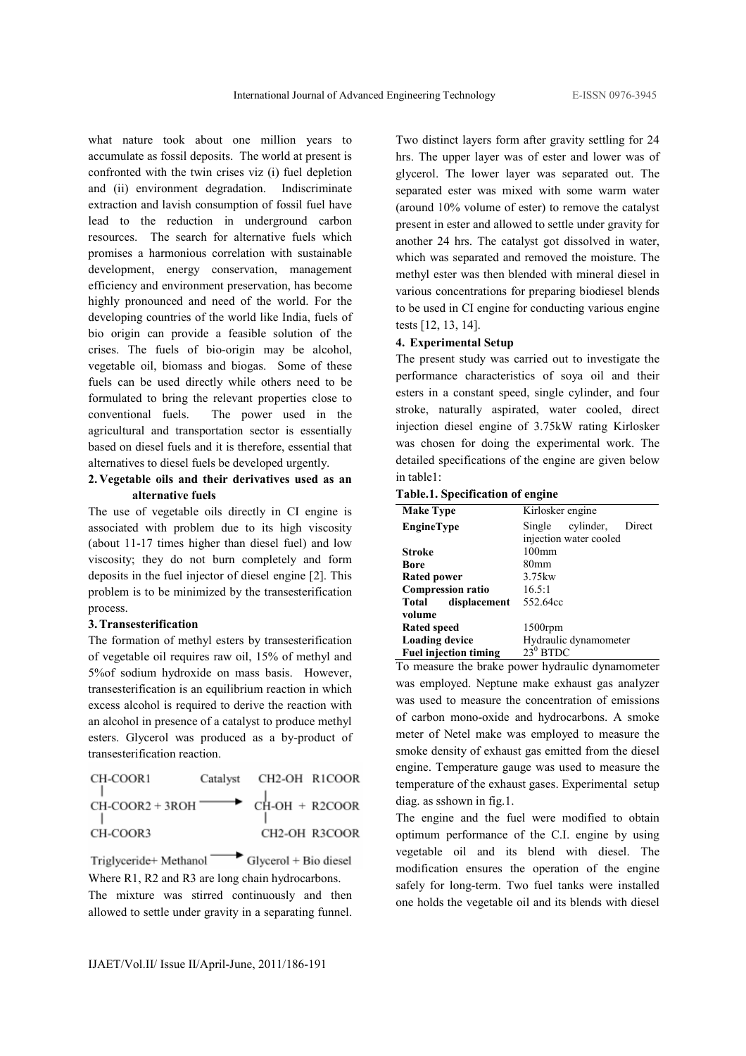what nature took about one million years to accumulate as fossil deposits. The world at present is confronted with the twin crises viz (i) fuel depletion and (ii) environment degradation. Indiscriminate extraction and lavish consumption of fossil fuel have lead to the reduction in underground carbon resources. The search for alternative fuels which promises a harmonious correlation with sustainable development, energy conservation, management efficiency and environment preservation, has become highly pronounced and need of the world. For the developing countries of the world like India, fuels of bio origin can provide a feasible solution of the crises. The fuels of bio-origin may be alcohol, vegetable oil, biomass and biogas. Some of these fuels can be used directly while others need to be formulated to bring the relevant properties close to conventional fuels. The power used in the agricultural and transportation sector is essentially based on diesel fuels and it is therefore, essential that alternatives to diesel fuels be developed urgently.

### 2. Vegetable oils and their derivatives used as an alternative fuels

The use of vegetable oils directly in CI engine is associated with problem due to its high viscosity (about 11-17 times higher than diesel fuel) and low viscosity; they do not burn completely and form deposits in the fuel injector of diesel engine [2]. This problem is to be minimized by the transesterification process.

#### 3.Transesterification

The formation of methyl esters by transesterification of vegetable oil requires raw oil, 15% of methyl and 5%of sodium hydroxide on mass basis. However, transesterification is an equilibrium reaction in which excess alcohol is required to derive the reaction with an alcohol in presence of a catalyst to produce methyl esters. Glycerol was produced as a by-product of transesterification reaction.

| CH-COOR1                                         | Catalyst CH2-OH R1COOR |               |
|--------------------------------------------------|------------------------|---------------|
| $CH-COOR2 + 3ROH \longrightarrow CH-OH + R2COOR$ |                        |               |
| CH-COOR3                                         |                        | CH2-OH R3COOR |

Triglyceride+ Methanol  $\rightarrow$  Glycerol + Bio diesel Where R1, R2 and R3 are long chain hydrocarbons. The mixture was stirred continuously and then allowed to settle under gravity in a separating funnel.

Two distinct layers form after gravity settling for 24 hrs. The upper layer was of ester and lower was of glycerol. The lower layer was separated out. The separated ester was mixed with some warm water (around 10% volume of ester) to remove the catalyst present in ester and allowed to settle under gravity for another 24 hrs. The catalyst got dissolved in water, which was separated and removed the moisture. The methyl ester was then blended with mineral diesel in various concentrations for preparing biodiesel blends to be used in CI engine for conducting various engine tests [12, 13, 14].

#### 4. Experimental Setup

The present study was carried out to investigate the performance characteristics of soya oil and their esters in a constant speed, single cylinder, and four stroke, naturally aspirated, water cooled, direct injection diesel engine of 3.75kW rating Kirlosker was chosen for doing the experimental work. The detailed specifications of the engine are given below in table1:

Table.1. Specification of engine

| <b>Make Type</b>             | Kirlosker engine              |
|------------------------------|-------------------------------|
| <b>EngineType</b>            | cylinder,<br>Direct<br>Single |
|                              | injection water cooled        |
| <b>Stroke</b>                | 100 <sub>mm</sub>             |
| Bore                         | 80mm                          |
| <b>Rated power</b>           | 3.75kw                        |
| <b>Compression ratio</b>     | 16.5:1                        |
| displacement<br>Total        | 552.64cc                      |
| volume                       |                               |
| Rated speed                  | $1500$ rpm                    |
| <b>Loading device</b>        | Hydraulic dynamometer         |
| <b>Fuel injection timing</b> | $23^0$ BTDC                   |

To measure the brake power hydraulic dynamometer was employed. Neptune make exhaust gas analyzer was used to measure the concentration of emissions of carbon mono-oxide and hydrocarbons. A smoke meter of Netel make was employed to measure the smoke density of exhaust gas emitted from the diesel engine. Temperature gauge was used to measure the temperature of the exhaust gases. Experimental setup diag. as sshown in fig.1.

The engine and the fuel were modified to obtain optimum performance of the C.I. engine by using vegetable oil and its blend with diesel. The modification ensures the operation of the engine safely for long-term. Two fuel tanks were installed one holds the vegetable oil and its blends with diesel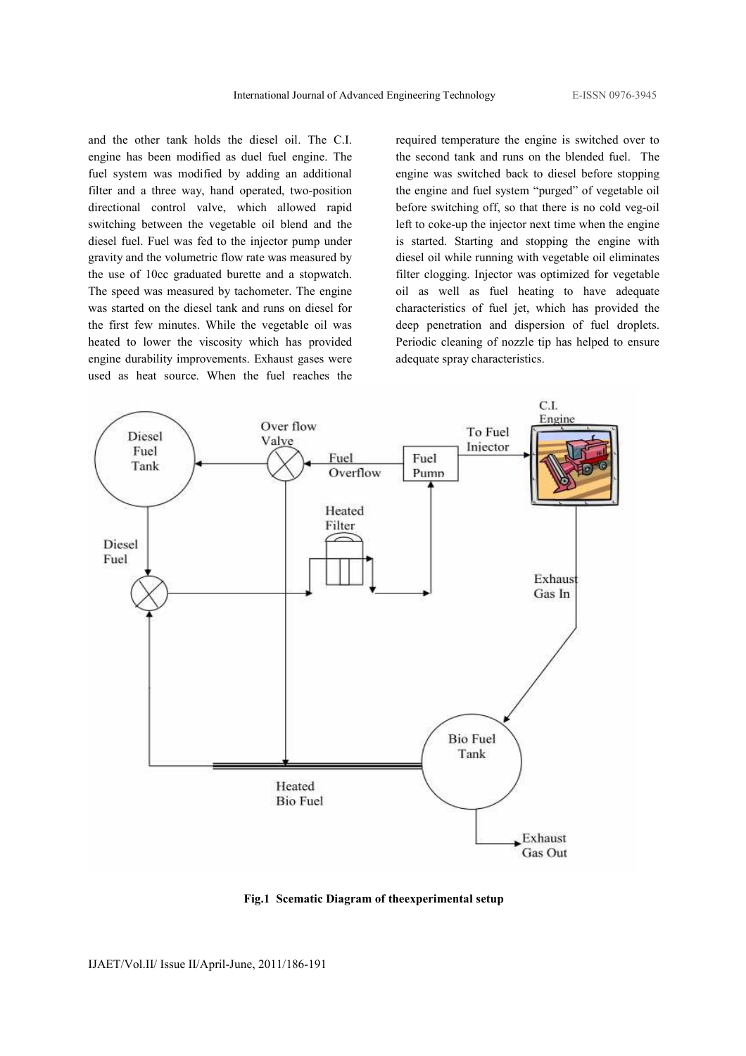and the other tank holds the diesel oil. The C.I. engine has been modified as duel fuel engine. The fuel system was modified by adding an additional filter and a three way, hand operated, two-position directional control valve, which allowed rapid switching between the vegetable oil blend and the diesel fuel. Fuel was fed to the injector pump under gravity and the volumetric flow rate was measured by the use of 10cc graduated burette and a stopwatch. The speed was measured by tachometer. The engine was started on the diesel tank and runs on diesel for the first few minutes. While the vegetable oil was heated to lower the viscosity which has provided engine durability improvements. Exhaust gases were used as heat source. When the fuel reaches the

required temperature the engine is switched over to the second tank and runs on the blended fuel. The engine was switched back to diesel before stopping the engine and fuel system "purged" of vegetable oil before switching off, so that there is no cold veg-oil left to coke-up the injector next time when the engine is started. Starting and stopping the engine with diesel oil while running with vegetable oil eliminates filter clogging. Injector was optimized for vegetable oil as well as fuel heating to have adequate characteristics of fuel jet, which has provided the deep penetration and dispersion of fuel droplets. Periodic cleaning of nozzle tip has helped to ensure adequate spray characteristics.



Fig.1 Scematic Diagram of theexperimental setup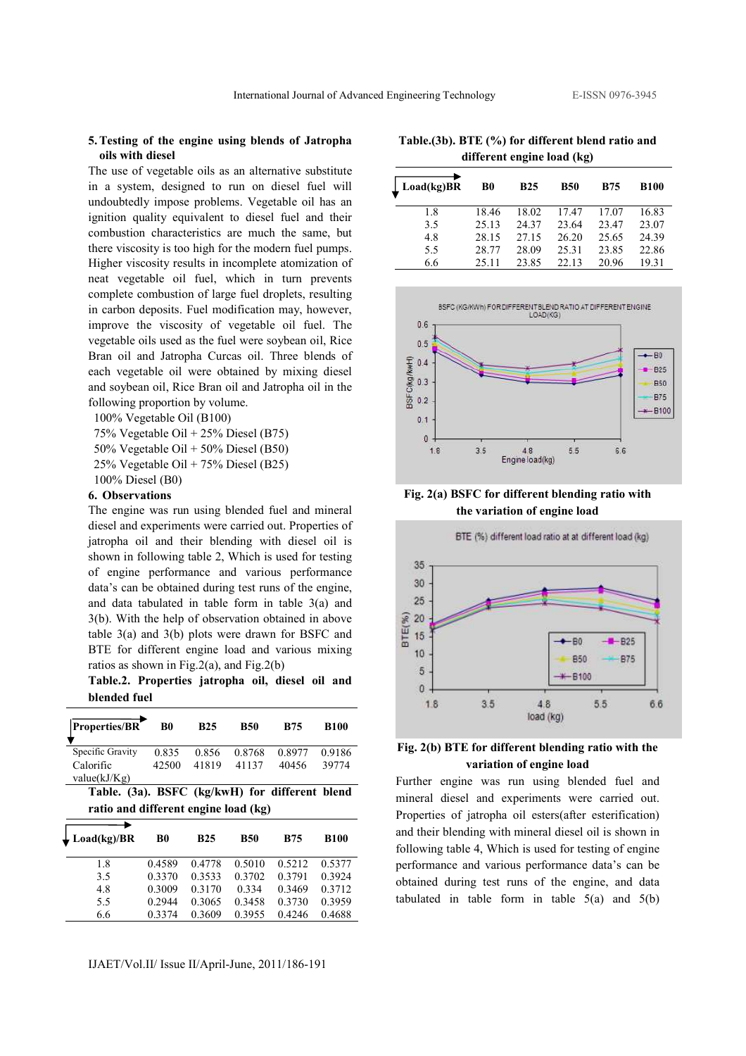#### 5.Testing of the engine using blends of Jatropha oils with diesel

The use of vegetable oils as an alternative substitute in a system, designed to run on diesel fuel will undoubtedly impose problems. Vegetable oil has an ignition quality equivalent to diesel fuel and their combustion characteristics are much the same, but there viscosity is too high for the modern fuel pumps. Higher viscosity results in incomplete atomization of neat vegetable oil fuel, which in turn prevents complete combustion of large fuel droplets, resulting in carbon deposits. Fuel modification may, however, improve the viscosity of vegetable oil fuel. The vegetable oils used as the fuel were soybean oil, Rice Bran oil and Jatropha Curcas oil. Three blends of each vegetable oil were obtained by mixing diesel and soybean oil, Rice Bran oil and Jatropha oil in the following proportion by volume.

100% Vegetable Oil (B100)

75% Vegetable Oil + 25% Diesel (B75) 50% Vegetable Oil + 50% Diesel (B50) 25% Vegetable Oil + 75% Diesel (B25)

100% Diesel (B0)

#### 6. Observations

The engine was run using blended fuel and mineral diesel and experiments were carried out. Properties of jatropha oil and their blending with diesel oil is shown in following table 2, Which is used for testing of engine performance and various performance data's can be obtained during test runs of the engine, and data tabulated in table form in table 3(a) and 3(b). With the help of observation obtained in above table 3(a) and 3(b) plots were drawn for BSFC and BTE for different engine load and various mixing ratios as shown in Fig.2(a), and Fig.2(b)

Table.2. Properties jatropha oil, diesel oil and blended fuel

| <b>Properties/BR</b>                           | B0                                   | <b>B25</b> | <b>B50</b> | <b>B75</b> | <b>B100</b> |  |  |
|------------------------------------------------|--------------------------------------|------------|------------|------------|-------------|--|--|
| Specific Gravity                               | 0.835                                | 0.856      | 0.8768     | 0.8977     | 0.9186      |  |  |
| Calorific                                      | 42500                                | 41819      | 41137      | 40456      | 39774       |  |  |
| value(kJ/Kg)                                   |                                      |            |            |            |             |  |  |
| Table. (3a). BSFC (kg/kwH) for different blend |                                      |            |            |            |             |  |  |
|                                                | ratio and different engine load (kg) |            |            |            |             |  |  |
| Load(kg)/BR                                    | B <sub>0</sub>                       | <b>B25</b> | <b>B50</b> | <b>B75</b> | <b>B100</b> |  |  |
| 1.8                                            | 0.4589                               | 0.4778     | 0.5010     | 0.5212     | 0.5377      |  |  |
| 3.5                                            | 0.3370                               | 0.3533     | 0.3702     | 0.3791     | 0.3924      |  |  |
| 4.8                                            | 0.3009                               | 0.3170     | 0.334      | 0.3469     | 0.3712      |  |  |
| 5.5                                            | 0.2944                               | 0.3065     | 0.3458     | 0.3730     | 0.3959      |  |  |
|                                                |                                      |            |            |            |             |  |  |

Table.(3b). BTE (%) for different blend ratio and different engine load (kg)

| Load(kg)BR | B0    | <b>B25</b> | <b>B50</b> | <b>B75</b> | <b>B100</b> |
|------------|-------|------------|------------|------------|-------------|
| 1.8        | 18.46 | 18.02      | 17.47      | 17.07      | 16.83       |
| 3.5        | 25.13 | 24.37      | 23.64      | 23.47      | 23.07       |
| 4.8        | 28.15 | 27.15      | 26.20      | 25.65      | 24.39       |
| 5.5        | 28.77 | 28.09      | 25.31      | 23.85      | 22.86       |
| 6.6        | 25.11 | 23.85      | 22.13      | 20.96      | 19.31       |



Fig. 2(a) BSFC for different blending ratio with the variation of engine load



## Fig. 2(b) BTE for different blending ratio with the variation of engine load

Further engine was run using blended fuel and mineral diesel and experiments were carried out. Properties of jatropha oil esters(after esterification) and their blending with mineral diesel oil is shown in following table 4, Which is used for testing of engine performance and various performance data's can be obtained during test runs of the engine, and data tabulated in table form in table  $5(a)$  and  $5(b)$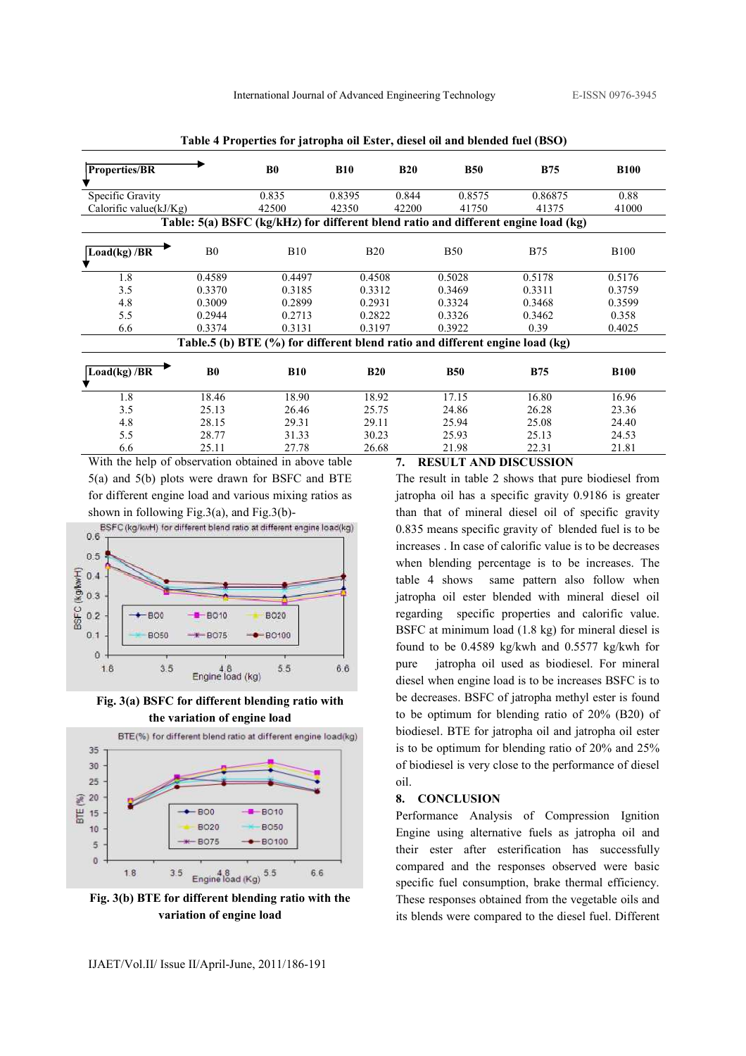| <b>Properties/BR</b>      |                | B <sub>0</sub>                                                               | <b>B10</b> | <b>B20</b> | <b>B50</b> | <b>B75</b>                                                                         | <b>B100</b> |
|---------------------------|----------------|------------------------------------------------------------------------------|------------|------------|------------|------------------------------------------------------------------------------------|-------------|
| Specific Gravity          |                | 0.835                                                                        | 0.8395     | 0.844      | 0.8575     | 0.86875                                                                            | 0.88        |
| Calorific value $(kJ/Kg)$ |                | 42500                                                                        | 42350      | 42200      | 41750      | 41375                                                                              | 41000       |
|                           |                |                                                                              |            |            |            | Table: 5(a) BSFC (kg/kHz) for different blend ratio and different engine load (kg) |             |
| Load(kg)/BR               | B <sub>0</sub> | <b>B10</b>                                                                   | <b>B20</b> |            | <b>B50</b> | <b>B75</b>                                                                         | <b>B100</b> |
| 1.8                       | 0.4589         | 0.4497                                                                       | 0.4508     |            | 0.5028     | 0.5178                                                                             | 0.5176      |
| 3.5                       | 0.3370         | 0.3185                                                                       | 0.3312     |            | 0.3469     | 0.3311                                                                             | 0.3759      |
| 4.8                       | 0.3009         | 0.2899                                                                       | 0.2931     |            | 0.3324     | 0.3468                                                                             | 0.3599      |
| 5.5                       | 0.2944         | 0.2713                                                                       | 0.2822     |            | 0.3326     | 0.3462                                                                             | 0.358       |
| 6.6                       | 0.3374         | 0.3131                                                                       | 0.3197     |            | 0.3922     | 0.39                                                                               | 0.4025      |
|                           |                | Table.5 (b) BTE (%) for different blend ratio and different engine load (kg) |            |            |            |                                                                                    |             |
| Load(kg)/BR               | B <sub>0</sub> | <b>B10</b>                                                                   | <b>B20</b> |            | <b>B50</b> | <b>B75</b>                                                                         | <b>B100</b> |
| 1.8                       | 18.46          | 18.90                                                                        | 18.92      |            | 17.15      | 16.80                                                                              | 16.96       |
| 3.5                       | 25.13          | 26.46                                                                        | 25.75      |            | 24.86      | 26.28                                                                              | 23.36       |
| 4.8                       | 28.15          | 29.31                                                                        | 29.11      |            | 25.94      | 25.08                                                                              | 24.40       |
| 5.5                       | 28.77          | 31.33                                                                        | 30.23      |            | 25.93      | 25.13                                                                              | 24.53       |
| 6.6                       | 25.11          | 27.78                                                                        | 26.68      |            | 21.98      | 22.31                                                                              | 21.81       |

Table 4 Properties for jatropha oil Ester, diesel oil and blended fuel (BSO)

With the help of observation obtained in above table 5(a) and 5(b) plots were drawn for BSFC and BTE for different engine load and various mixing ratios as shown in following Fig.3(a), and Fig.3(b)-



Fig. 3(a) BSFC for different blending ratio with the variation of engine load



Fig. 3(b) BTE for different blending ratio with the variation of engine load

### 7. RESULT AND DISCUSSION

The result in table 2 shows that pure biodiesel from jatropha oil has a specific gravity 0.9186 is greater than that of mineral diesel oil of specific gravity 0.835 means specific gravity of blended fuel is to be increases . In case of calorific value is to be decreases when blending percentage is to be increases. The table 4 shows same pattern also follow when jatropha oil ester blended with mineral diesel oil regarding specific properties and calorific value. BSFC at minimum load (1.8 kg) for mineral diesel is found to be 0.4589 kg/kwh and 0.5577 kg/kwh for pure jatropha oil used as biodiesel. For mineral diesel when engine load is to be increases BSFC is to be decreases. BSFC of jatropha methyl ester is found to be optimum for blending ratio of 20% (B20) of biodiesel. BTE for jatropha oil and jatropha oil ester is to be optimum for blending ratio of 20% and 25% of biodiesel is very close to the performance of diesel oil.

#### 8. CONCLUSION

Performance Analysis of Compression Ignition Engine using alternative fuels as jatropha oil and their ester after esterification has successfully compared and the responses observed were basic specific fuel consumption, brake thermal efficiency. These responses obtained from the vegetable oils and its blends were compared to the diesel fuel. Different